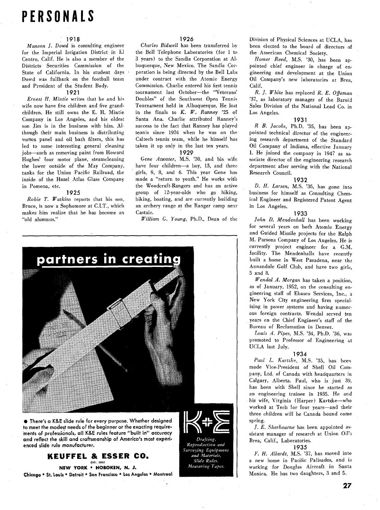# **PERSONALS**

#### **191 8**

Munson 1. Dowd is consulting engineer for the Imperial Irrigation District in El Centre, Calif. He is also a member of the Districts Securities Commission of the State of California. In his student days Dowd was fullback on the football team and President of the Student Body.

#### **1921**

Ernest H. Mintie writes that he and his wife now have five children and five grandchildren. He still owns the E. H. Mintie Company in Los Angeles, and his oldest son Jim is in the business with him. **A1**  though their main business is distributing vortox panel and oil bath filters, this has led to some interesting general cleaning jobs-such as removing paint from Howard Hughes' four motor plane, steamcleaning the lower outside of the May Company, tanks for the Union Pacific Railroad, the inside of the Hazel Atlas Glass Company in Pomona, etc.

#### **1925**

Robie T. Watkins reports that his son, Bruce, is now a Sophomore at C.I.T., which makes him realize that he has become "old alumnus."

#### **1926**

Charles Bidwell has been transferred by the Bell Telephone Laboratories (for 1 to 3 years) to the Sandia Corporation at Albuquerque, New Mexico. The Sandia Corporation is being directed by the Bell Labs under contract with the Atomic Energy Commission. Charlie entered his first tennis tournament last October-the "Veterans' Doubles" of the Southwest Open Tennis Tournament held in Albuquerque. He lost in the finals to *K. W. Ranney* '25 of Santa Ana. Charlie attributed Ranney's success to the fact that Ranney has played tennis since 1924 when he was on the Caltech tennis team, while he himself has taken it up only in the last ten years.

#### **1929**

Gene Atwater, M.S. '30, and his wife have four children-a boy, 13, and three girls, 9, 8, and 6. This year Gene has made a "return to youth," He works with the Woodcraft-Rangers and has an active group of 12-year-olds who go hiking, biking, boating, and are currently building an archery range at the Ranger camp near Castaic.

William G. Young, Ph.D., Dean of the



· There's a K&E slide rule for every purpose. Whether designed to meet the modest needs of the beginner or the exacting requirements of professionals, all K&E rules feature "built in" accuracy and reflect the skill and craftsmanship of America's most experienced slide rule manufacturer.

> **KEUFFEL & ESSER CO.**  $207 - 106$

NEW YORK . HOBOKEN, N. J. Chicago . St. Louis . Detroit . San Francisco . Los Angeles . Montreal



Reproduction and Surveying Equipment and Materials, Slide Rules, Measuring Tapes.

Division of Physical Sciences at UCLA, has been elected to the board of directors of the American Chemical Society.

Homer Reed, M.S. '30, has been appointed chief engineer in charge of engineering and development at the Union Oil Company's new laboratories at Brea, Calif.

R. J. White has replaced *R.* E. Offeman '37, as laboratory manager of the Baroid Sales Division of the National Lead Co. in Los Angeles.

#### **1931**

*R B. Jacobs*, Ph.D. '35, has been appointed technical director of the engineering research department of the Standard Oil Company of Indiana, effective January 1. He joined the company in 1947 as associate director of the engineering research department after serving with the National Research Council.

#### **1932**

D. H. Larsen, M.S. '36, has gone into business for himself as Consulting Chemical Engineer and Registered Patent Agent in Los Angeles.

#### **1933**

John D. Mendenhall has been working for several years on both Atomic Energy and Guided Missile projects for the Ralph M. Parsons Company of Los Angeles. He is currently project engineer for a G.M. facility. The Mendenhalls have recently built a home in West Pasadena, near the Annandale Golf Club, and have two girls, 5 and 8.

Wendal **A.** Morgan has taken a position, as of January, 1952, on the consulting engineering staff of Ebasco Services, Inc., a New York City engineering firm specializing in power systems and having numerous foreign contracts. Wendal served ten years on the Chief Engineer's staff of the Bureau of Reclamation in Denver.

Louis *A.* Pipes, M.S. '34, Ph.D. '36, was promoted to Professor of Engineering at UCLA last July.

#### **1934**

Paul L. Kartzke, M.S. '35, has been made Vice-President of Shell Oil Company, Ltd. of Canada with headquarters in Calgary, Alberta. Paul, who is just **39,**  has been with Shell since he started as an engineering trainee in 1935. He and his wife, Virginia (Harper) Kartzke-who worked at Tech for four years-and their three children will be Canada bound come spring.

/. E. Sherbourne has been appointed assistant manager of research at Union Oil's Brea, Calif., Laboratories.

**1935** 

F. H. Allardt, M.S. '37, has moved into a new home in Pacific Palisades, and is working for Douglas Aircraft in Santa Monica. He has two daughters, 3 and 5.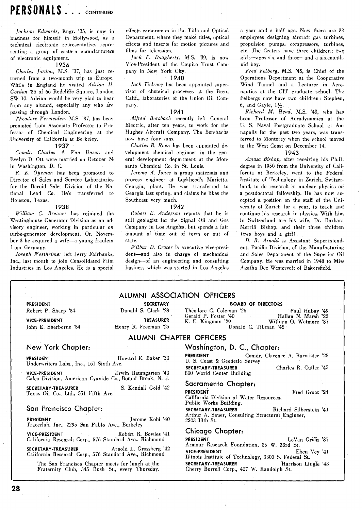Jackson Edwards, Engr. **'35,** is now in business for himself in Hollywood, as a technical electronic representative, representing a group of eastern manufacturers of electronic equipment.

#### **1936**

Charles Jordan, M.S. **'37,** has just returned from a two-month trip to Europe. While in England he visited Adrian H. Gordon<sup>'35</sup> of 66 Redcliffe Square, London SW **10.** Adrian would be very glad to hear from any alumni, especially any who are passing through London.

Theodore Vermeulen, M.S. **'37,** has beei promoted fiom Associate Professor to Professor of Chemical Engineering at the University of California at Berkeley.

#### **1937**

Comdr. Charles A. Van Dusen and Evelyn D. Ott were married on October 24 in Washington, D. C.

R. *E.* Offeman has been promoted to Director of Sales and Service Laboratories for the Baroid Sales Division of the National Lead Co. He's transferred to Houston, Texas.

#### **1938**

William C. Brenner has rejoined the Westinghouse Generator Division as an advisory engineer, working in particular on turbo-generator development. On November **3** he acquired a wife-a young fraulein from Germany.

Joseph Westheimer left Jerry Fairbanks, Inc., last month to join Consolidated Film Industries in Los Angeles. He is a special

effects cameraman in the Title and Optical Department, where they make titles, optical effects and inserts for motion pictures and films for television.

Jack F. Dougherty, M.S. **'39,** is now Vice-president of the Empire Trust Con) pany in New York City.

#### **1940**

Jack Tielrooy has been appointed supervisor of chemical processes at the Brea, Calif., laboratories of the Union Oil Company.

#### **1941**

Alfred Bersbach recently left General Electric, after ten years, to work for the Hughes Aircraft Company. The Bershachs now have four sons.

Charles B. Roen has been appointed development chemical engineer in the general development department at the Monsanto Chemical Co. in St. Louis.

Jeremy *A.* Jones is group materials and process engineer at Lolckheed's Marietta, Georgia, plant. He was transferred to Georgia last spring, and claims he likes the Southeast very much.

#### **1942**

Robert E. Anderson reports that he is still geologist for the Signal Oil and Gas Company in Los Angeles, but spends a fair amount of time out of town or out of state.

Wilbur **D.** Crater is executive vice-president-and also in charge of mechanical design-of an engineering and consulting business which was started in Los Angeles

ALUMNI ASSOCIATION OFFICERS

a year and a half ago. Now there are **33**  employees designing aircraft gas turbines, propulsion pumps, compressors, turbines, etc. The Craters have three children; two girls-ages six and three-and a six-monthold boy.

Fred Felberg, M.S. **'45,** is Chief of the Operations Department at the Cooperative Wind Tunnel and a Lecturer in Aeronautics at the CIT graduate school. The Felbergs now have two children: Stephen, **6,** and Gayle, **1%.** 

Richard M. Head, M.S. '43, who has been Professor of Aerodynamics at the U. S. Naval Postgraduate School at Annapolis for the past two years, was transferred to Monterey when the school moved to the West Coast on December **14.** 

#### **1943**

Amasa Bishop, after receiving his Ph.D. degree in **1950** from the University of California at Berkeley, went to the Federal Institute of Technology in Zurich, Switzerland, to do research in nuclear physics on a postdoctoral fellowship. He has now accepted a position on the staff of the University of Zurich for a year, to teach and continue his research in physics. With him in Switzerland are his wife, Dr. Barbara Merrill Bishop, and their three children (two boys and a girl).

D. R. Arnold is Assistant Superintendent, Pacific Division, of the Manufacturing and Sales Department of the Superior Oil Company. He was married in **1948** to Miss

|                                                                                             | ALVIIII AVVVUAIIVII VIIILLIV |                                                                                    |                       |  |
|---------------------------------------------------------------------------------------------|------------------------------|------------------------------------------------------------------------------------|-----------------------|--|
| PRESIDENT                                                                                   | <b>SECRETARY</b>             | <b>BOARD OF DIRECTORS</b>                                                          |                       |  |
| Robert P. Sharp '34                                                                         | Donald S. Clark '29          | Theodore C. Coleman '26<br>Gerald P. Foster '40 Hallan N. Marsh '22                | Paul Hubay '49        |  |
| <b>VICE-PRESIDENT</b>                                                                       | <b>TREASURER</b>             | K. E. Kingman '29 William O. Wetmore '37                                           |                       |  |
| John E. Sherborne '34                                                                       | Henry R. Freeman '25         | Donald C. Tillman '45                                                              |                       |  |
|                                                                                             |                              | ALUMNI CHAPTER OFFICERS                                                            |                       |  |
| New York Chapter:                                                                           |                              | Washington, D. C., Chapter:                                                        |                       |  |
| PRESIDENT<br>Underwriters Labs., Inc., 161 Sixth Ave.                                       | Howard E. Baker '30          | <b>PRESIDENT</b> Comdr. Clarence A. Burmister '25<br>U. S. Coast & Geodetic Survey |                       |  |
| VICE-PRESIDENT FOR THE RESIDENT<br>Calco Division, American Cyanide Co., Bound Brook, N. J. | Erwin Baumgarten '40         | <b>SECRETARY-TREASURER</b><br>800 World Center Building                            | Charles R. Cutler '45 |  |
| SECRETARY-TREASURER<br>Texas Oil Co., Ltd., 551 Fifth Ave.                                  | S. Kendall Gold '42          | Sacramento Chapter:<br><b>PRESIDENT</b><br>$\alpha$ is a set of $\alpha$<br>rw. n  | Fred Groat '24        |  |

#### San Francisco Chapter:

**PRESIDENT** Jerome Kohl **'40**  Tracerlab, Inc., **2295** San Pablo Ave., Berkeley

**VICE-PRESIDENT** Robert R. Bowles **'41**  California Research Corp., **576** Standard Ave., Richmond

**SECRETARY-TREASURER** Arnold L. Grossberg **'42**  California Research Corp., **576** Standard Ave., Richmond

The San Francisco Chapter meets for lunch at the Fraternity Club, **345** Bush St., every Thursday.

California Division of Water Resources, Public Works Building.

**SECRETARY-TREASURER** Richard Silberstein **'41**  Arthur A. Sauer, Consulting Structural Engineer, **2203 13th** St.

#### Chicago Chapter:

**PRESIDENT** Levan Griffis **'37**  Armour Research Foundation, **35** W. 33rd St. **VICE-PRESIDENT** Eben vey **'41**  Illinois Institute of Technology, **3300** S. Federal St. **SECRETARY-TREASURER** Harrison Lingle **'43**  Cherry Burrell Corp., **427** W. Randolph St.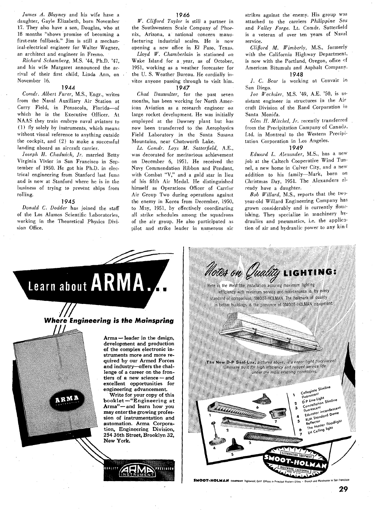James *A. Blayney* and his wife have a daughter, Gayle Elizabeth, born November 17. They also have a son, Douglas, who at 18 months "shows promise of becoming a first-rate fullback." Jim is still a mechanical-electrical engineer for Walter Wagner, an architect and engineer in Fresno.

Richard Schamberg, M.S. '44, Ph.D. '4'7, and his wife Margaret announced the arrival of their first child, Linda Ann, on November 16.

#### 1944

Comdr. Albert Furer, M.S., Engr., writes from the Naval Auxiliary Air Station at Corry Field, in Pensacola, Florida-of which he is the Executive Officer. At NAAS they train embryo naval aviators to (1) fly solely by instruments, which means without visual reference to anything outside the cockpit, and (2) to make a successful landing aboard an aircraft carrier.

Joseph H. Chadwick, Jr. married Betty Virginia Vivier in San Francisco in September of 1950. He got his Ph.D. in electrical engineering from Stanford last June and is now at Stanford where he is in the business of trying to prevent ships from rolling.

#### 1945

Donald C. Dodder has joined the staff of the Los Alamos Scientific Laboratories, working in the Theoretical Physics Division Office.

**W'.** Clifford Taylor is still a partner in the Southwestern Scale Company of Phoenix, Arizona, a national concern manufacturing industrial scales. He is now opening a new office in El Paso, Texas.

Lloyd W. Chamberlain is stationed on Wake Island for a year, as of October, 1951, working as a weather forecaster for the U. S. Weather Bureau. He cordially invites anyone passing through to visit him. 1947

Chad Dauwalter, for the past seven months, has been working for North American Aviation as a research engineer on large rocket development. He was initially employed at the Downey plant but has now been tiansferred to the Aerophysics Field Laboratory in the Santa Susana Mountains, near Chatsworth Lake.

Lt. Comdr. Loys M. Satterfield, **A.E;**  was decorated for meritorious achievement on December 6, 1951. He received the Navy Commendation Ribbon and Pendant, with Combat "V," and a gold star in lieu of his fifth Air Medal. He distinguished himself as Operations Officer of Carrier Air Group Two during operations against the enemy in Korea from December, 1950, to May, 1951, by effectively coordinating all strike schedules among the squadrons of the air group. He also participated as pilot and strike leader in numerous air

strikes against the enemy. His group was attached to the carriers Philippine Sea and Valley Forge. Lt. Comdr. Satterfield is a veteran of over ten years of Naval service.

Clifford M. Wimberly, M.S., formerly with the California Highway Department, is now with the Portland, Oregon, office of American Bitumuls and Asphalt Company. 1948

/. **C.** Bear is working at Convair in San Diego.

Joe Wechsler, M.S. '49, A.E. '50, is **35**  sistant engineer in structures in the Air craft Division of the Rand Corporation in Santa Monica.

Glen *H.* Mitchel, Jr. recently transferred from the Precipitation Company of Canada, Ltd. in Montreal to the Western Precipitation Corporation in Los Angeles.

#### 1949

Edward L. Alexander, M.S., has a new job at the Caltech Cooperative Wind Tunnel, a new home in Culver City, and a new addition to his family-Mark, born on Christmas Day, 1951. The Alexanders 21 ready have a daughter.

Bob Willard, M.S., reports that the twoyear-old Willard Engineering Company ha^ grown considerably and is currently flourishing. They specialize in machinery hvdraulics and pneumatics, i.e. the application of air and hydraulic power to any kin-





**SMOOT-HOLMAN** COMPANY Inglewood, Calif Offices in